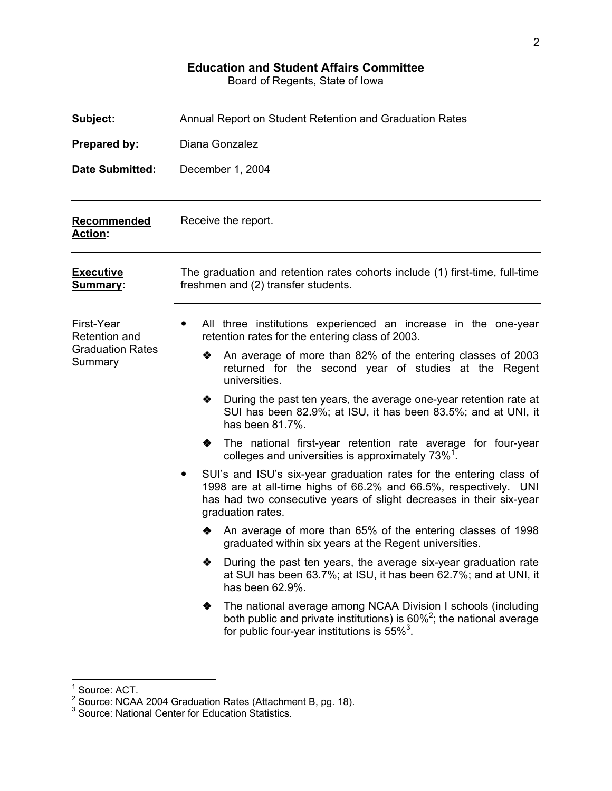# **Education and Student Affairs Committee**

Board of Regents, State of Iowa

| Subject:                           | Annual Report on Student Retention and Graduation Rates                                                                                                                                                                             |  |  |  |  |  |  |  |
|------------------------------------|-------------------------------------------------------------------------------------------------------------------------------------------------------------------------------------------------------------------------------------|--|--|--|--|--|--|--|
| Prepared by:                       | Diana Gonzalez                                                                                                                                                                                                                      |  |  |  |  |  |  |  |
| <b>Date Submitted:</b>             | December 1, 2004                                                                                                                                                                                                                    |  |  |  |  |  |  |  |
| Recommended<br><b>Action:</b>      | Receive the report.                                                                                                                                                                                                                 |  |  |  |  |  |  |  |
| <b>Executive</b><br>Summary:       | The graduation and retention rates cohorts include (1) first-time, full-time<br>freshmen and (2) transfer students.                                                                                                                 |  |  |  |  |  |  |  |
| First-Year<br>Retention and        | All three institutions experienced an increase in the one-year<br>retention rates for the entering class of 2003.                                                                                                                   |  |  |  |  |  |  |  |
| <b>Graduation Rates</b><br>Summary | An average of more than 82% of the entering classes of 2003<br>◈<br>returned for the second year of studies at the Regent<br>universities.                                                                                          |  |  |  |  |  |  |  |
|                                    | During the past ten years, the average one-year retention rate at<br>❖<br>SUI has been 82.9%; at ISU, it has been 83.5%; and at UNI, it<br>has been 81.7%.                                                                          |  |  |  |  |  |  |  |
|                                    | The national first-year retention rate average for four-year<br>❖<br>colleges and universities is approximately 73% <sup>1</sup> .                                                                                                  |  |  |  |  |  |  |  |
|                                    | SUI's and ISU's six-year graduation rates for the entering class of<br>1998 are at all-time highs of 66.2% and 66.5%, respectively. UNI<br>has had two consecutive years of slight decreases in their six-year<br>graduation rates. |  |  |  |  |  |  |  |
|                                    | An average of more than 65% of the entering classes of 1998<br>❖<br>graduated within six years at the Regent universities.                                                                                                          |  |  |  |  |  |  |  |
|                                    | During the past ten years, the average six-year graduation rate<br>◈<br>at SUI has been 63.7%; at ISU, it has been 62.7%; and at UNI, it<br>has been 62.9%.                                                                         |  |  |  |  |  |  |  |
|                                    | The national average among NCAA Division I schools (including<br>❖<br>both public and private institutions) is $60\%^2$ ; the national average<br>for public four-year institutions is $55\%$ <sup>3</sup> .                        |  |  |  |  |  |  |  |

<sup>1&</sup>lt;br><sup>1</sup> Source: ACT.<br><sup>2</sup> Source: NCAA 2004 Graduation Rates (Attachment B, pg. 18).<br><sup>3</sup> Source: National Center for Education Statistics.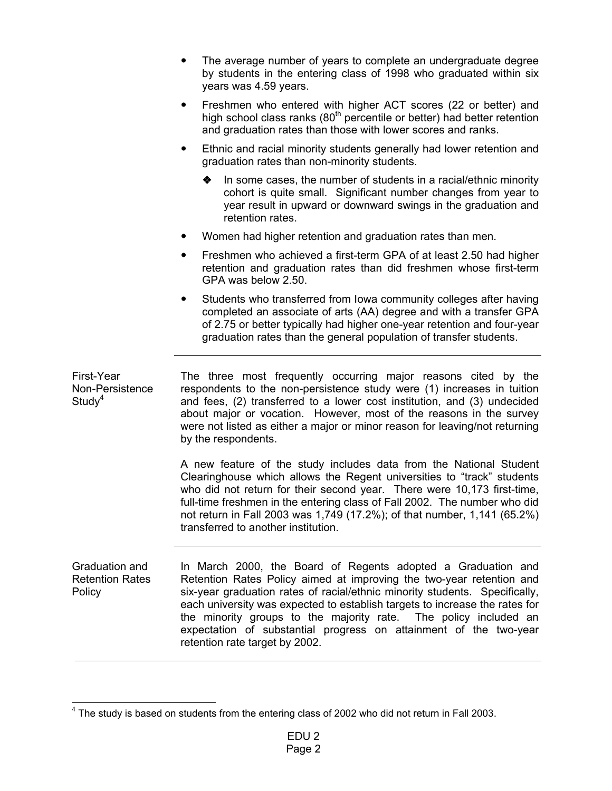- The average number of years to complete an undergraduate degree by students in the entering class of 1998 who graduated within six years was 4.59 years.
- Freshmen who entered with higher ACT scores (22 or better) and high school class ranks  $(80<sup>th</sup>$  percentile or better) had better retention and graduation rates than those with lower scores and ranks.
- Ethnic and racial minority students generally had lower retention and graduation rates than non-minority students.
	- In some cases, the number of students in a racial/ethnic minority cohort is quite small. Significant number changes from year to year result in upward or downward swings in the graduation and retention rates.
- Women had higher retention and graduation rates than men.
- Freshmen who achieved a first-term GPA of at least 2.50 had higher retention and graduation rates than did freshmen whose first-term GPA was below 2.50.
- Students who transferred from Iowa community colleges after having completed an associate of arts (AA) degree and with a transfer GPA of 2.75 or better typically had higher one-year retention and four-year graduation rates than the general population of transfer students.

First-Year Non-Persistence  $Study<sup>4</sup>$ The three most frequently occurring major reasons cited by the respondents to the non-persistence study were (1) increases in tuition and fees, (2) transferred to a lower cost institution, and (3) undecided about major or vocation. However, most of the reasons in the survey were not listed as either a major or minor reason for leaving/not returning

by the respondents.

A new feature of the study includes data from the National Student Clearinghouse which allows the Regent universities to "track" students who did not return for their second year. There were 10,173 first-time, full-time freshmen in the entering class of Fall 2002. The number who did not return in Fall 2003 was 1,749 (17.2%); of that number, 1,141 (65.2%) transferred to another institution.

Graduation and Retention Rates Policy In March 2000, the Board of Regents adopted a Graduation and Retention Rates Policy aimed at improving the two-year retention and six-year graduation rates of racial/ethnic minority students. Specifically, each university was expected to establish targets to increase the rates for the minority groups to the majority rate. The policy included an expectation of substantial progress on attainment of the two-year retention rate target by 2002.

 $4$  The study is based on students from the entering class of 2002 who did not return in Fall 2003.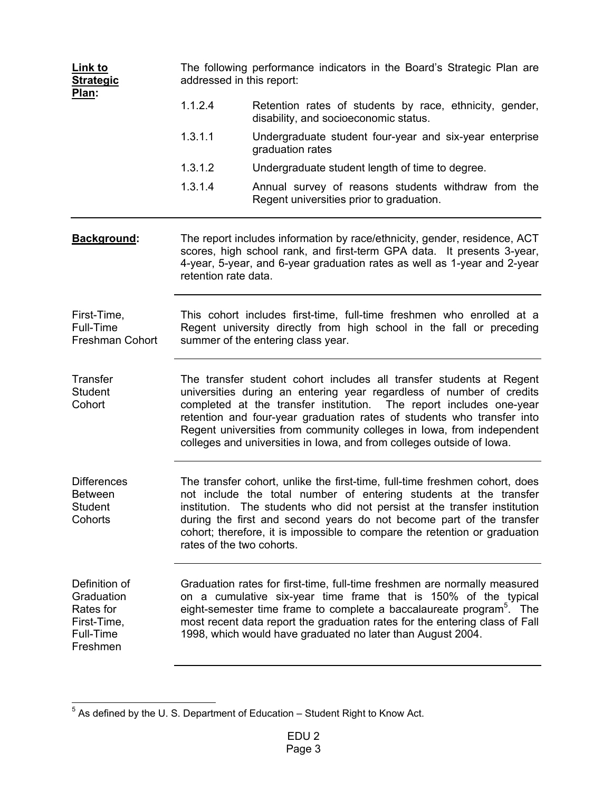| Link to<br><b>Strategic</b><br>Plan:                                             | The following performance indicators in the Board's Strategic Plan are<br>addressed in this report:                                                                                                                                                                                                                                                                                                                                             |                                                                                                                                                                                                                                                                                                                                                                                |  |  |  |  |  |  |
|----------------------------------------------------------------------------------|-------------------------------------------------------------------------------------------------------------------------------------------------------------------------------------------------------------------------------------------------------------------------------------------------------------------------------------------------------------------------------------------------------------------------------------------------|--------------------------------------------------------------------------------------------------------------------------------------------------------------------------------------------------------------------------------------------------------------------------------------------------------------------------------------------------------------------------------|--|--|--|--|--|--|
|                                                                                  | 1.1.2.4                                                                                                                                                                                                                                                                                                                                                                                                                                         | Retention rates of students by race, ethnicity, gender,<br>disability, and socioeconomic status.                                                                                                                                                                                                                                                                               |  |  |  |  |  |  |
|                                                                                  | 1.3.1.1                                                                                                                                                                                                                                                                                                                                                                                                                                         | Undergraduate student four-year and six-year enterprise<br>graduation rates                                                                                                                                                                                                                                                                                                    |  |  |  |  |  |  |
|                                                                                  | 1.3.1.2                                                                                                                                                                                                                                                                                                                                                                                                                                         | Undergraduate student length of time to degree.                                                                                                                                                                                                                                                                                                                                |  |  |  |  |  |  |
|                                                                                  | 1.3.1.4                                                                                                                                                                                                                                                                                                                                                                                                                                         | Annual survey of reasons students withdraw from the<br>Regent universities prior to graduation.                                                                                                                                                                                                                                                                                |  |  |  |  |  |  |
| Background:                                                                      | The report includes information by race/ethnicity, gender, residence, ACT<br>scores, high school rank, and first-term GPA data. It presents 3-year,<br>4-year, 5-year, and 6-year graduation rates as well as 1-year and 2-year<br>retention rate data.                                                                                                                                                                                         |                                                                                                                                                                                                                                                                                                                                                                                |  |  |  |  |  |  |
| First-Time,<br>Full-Time<br>Freshman Cohort                                      | This cohort includes first-time, full-time freshmen who enrolled at a<br>Regent university directly from high school in the fall or preceding<br>summer of the entering class year.                                                                                                                                                                                                                                                             |                                                                                                                                                                                                                                                                                                                                                                                |  |  |  |  |  |  |
| Transfer<br><b>Student</b><br>Cohort                                             | The transfer student cohort includes all transfer students at Regent<br>universities during an entering year regardless of number of credits<br>completed at the transfer institution. The report includes one-year<br>retention and four-year graduation rates of students who transfer into<br>Regent universities from community colleges in lowa, from independent<br>colleges and universities in lowa, and from colleges outside of lowa. |                                                                                                                                                                                                                                                                                                                                                                                |  |  |  |  |  |  |
| <b>Differences</b><br><b>Between</b><br>Student<br>Cohorts                       | The transfer cohort, unlike the first-time, full-time freshmen cohort, does<br>not include the total number of entering students at the transfer<br>institution. The students who did not persist at the transfer institution<br>during the first and second years do not become part of the transfer<br>cohort; therefore, it is impossible to compare the retention or graduation<br>rates of the two cohorts.                                |                                                                                                                                                                                                                                                                                                                                                                                |  |  |  |  |  |  |
| Definition of<br>Graduation<br>Rates for<br>First-Time,<br>Full-Time<br>Freshmen |                                                                                                                                                                                                                                                                                                                                                                                                                                                 | Graduation rates for first-time, full-time freshmen are normally measured<br>on a cumulative six-year time frame that is 150% of the typical<br>eight-semester time frame to complete a baccalaureate program <sup>5</sup> . The<br>most recent data report the graduation rates for the entering class of Fall<br>1998, which would have graduated no later than August 2004. |  |  |  |  |  |  |

 5 As defined by the U. S. Department of Education – Student Right to Know Act.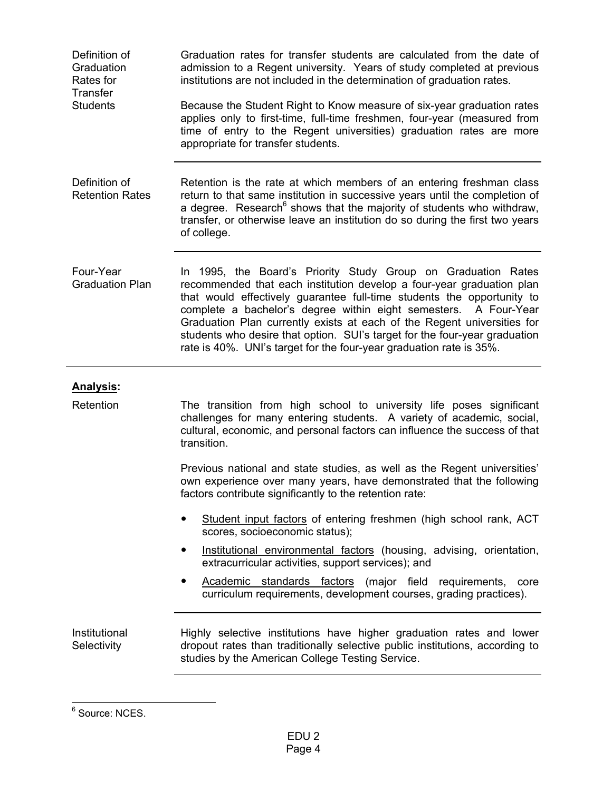| Definition of<br>Graduation<br>Rates for<br><b>Transfer</b> | Graduation rates for transfer students are calculated from the date of<br>admission to a Regent university. Years of study completed at previous<br>institutions are not included in the determination of graduation rates.                                                                                                                                                                                                                                                                                          |
|-------------------------------------------------------------|----------------------------------------------------------------------------------------------------------------------------------------------------------------------------------------------------------------------------------------------------------------------------------------------------------------------------------------------------------------------------------------------------------------------------------------------------------------------------------------------------------------------|
| <b>Students</b>                                             | Because the Student Right to Know measure of six-year graduation rates<br>applies only to first-time, full-time freshmen, four-year (measured from<br>time of entry to the Regent universities) graduation rates are more<br>appropriate for transfer students.                                                                                                                                                                                                                                                      |
| Definition of<br><b>Retention Rates</b>                     | Retention is the rate at which members of an entering freshman class<br>return to that same institution in successive years until the completion of<br>a degree. Research <sup>6</sup> shows that the majority of students who withdraw,<br>transfer, or otherwise leave an institution do so during the first two years<br>of college.                                                                                                                                                                              |
| Four-Year<br><b>Graduation Plan</b>                         | In 1995, the Board's Priority Study Group on Graduation Rates<br>recommended that each institution develop a four-year graduation plan<br>that would effectively guarantee full-time students the opportunity to<br>complete a bachelor's degree within eight semesters. A Four-Year<br>Graduation Plan currently exists at each of the Regent universities for<br>students who desire that option. SUI's target for the four-year graduation<br>rate is 40%. UNI's target for the four-year graduation rate is 35%. |
| <u>Analysis</u> :                                           |                                                                                                                                                                                                                                                                                                                                                                                                                                                                                                                      |
| Retention                                                   | The transition from high school to university life poses significant<br>challenges for many entering students. A variety of academic, social,<br>cultural, economic, and personal factors can influence the success of that<br>transition.                                                                                                                                                                                                                                                                           |
|                                                             | Previous national and state studies, as well as the Regent universities'<br>own experience over many years, have demonstrated that the following<br>factors contribute significantly to the retention rate:                                                                                                                                                                                                                                                                                                          |
|                                                             | Student input factors of entering freshmen (high school rank, ACT<br>scores, socioeconomic status);                                                                                                                                                                                                                                                                                                                                                                                                                  |
|                                                             | Institutional environmental factors (housing, advising, orientation,<br>extracurricular activities, support services); and                                                                                                                                                                                                                                                                                                                                                                                           |
|                                                             | Academic standards factors (major field requirements, core<br>curriculum requirements, development courses, grading practices).                                                                                                                                                                                                                                                                                                                                                                                      |
| Institutional<br>Selectivity                                | Highly selective institutions have higher graduation rates and lower<br>dropout rates than traditionally selective public institutions, according to<br>studies by the American College Testing Service.                                                                                                                                                                                                                                                                                                             |

e<br>
6 Source: NCES.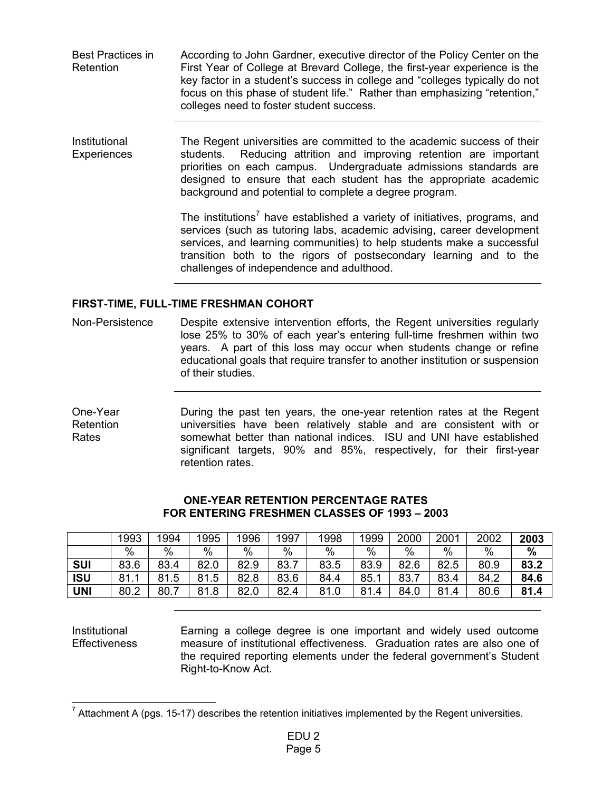| Best Practices in | According to John Gardner, executive director of the Policy Center on the   |
|-------------------|-----------------------------------------------------------------------------|
| Retention         | First Year of College at Brevard College, the first-year experience is the  |
|                   | key factor in a student's success in college and "colleges typically do not |
|                   | focus on this phase of student life." Rather than emphasizing "retention,"  |
|                   | colleges need to foster student success.                                    |

Institutional **Experiences** The Regent universities are committed to the academic success of their students. Reducing attrition and improving retention are important priorities on each campus. Undergraduate admissions standards are designed to ensure that each student has the appropriate academic background and potential to complete a degree program.

> The institutions<sup>7</sup> have established a variety of initiatives, programs, and services (such as tutoring labs, academic advising, career development services, and learning communities) to help students make a successful transition both to the rigors of postsecondary learning and to the challenges of independence and adulthood.

### **FIRST-TIME, FULL-TIME FRESHMAN COHORT**

Non-Persistence Despite extensive intervention efforts, the Regent universities regularly lose 25% to 30% of each year's entering full-time freshmen within two years. A part of this loss may occur when students change or refine educational goals that require transfer to another institution or suspension of their studies.

One-Year Retention Rates During the past ten years, the one-year retention rates at the Regent universities have been relatively stable and are consistent with or somewhat better than national indices. ISU and UNI have established significant targets, 90% and 85%, respectively, for their first-year retention rates.

|            | 1993      | 1994      | 1995      | 1996 | 1997 | 1998 | 999  | 2000 | 2001 | 2002 | 2003 |
|------------|-----------|-----------|-----------|------|------|------|------|------|------|------|------|
|            | $\%$      | %         | $\%$      | $\%$ | $\%$ | %    | $\%$ | $\%$ | $\%$ | $\%$ | $\%$ |
| <b>SUI</b> | 83.6      | 83.4      | 82.0      | 82.9 | 83.7 | 83.5 | 83.9 | 82.6 | 82.5 | 80.9 | 83.2 |
| <b>ISU</b> | 81.1<br>и | 81<br>.5  | 81<br>1.5 | 82.8 | 83.6 | 84.4 | 85.  | 83.7 | 83.4 | 84.2 | 84.6 |
| <b>UNI</b> | 80.2      | 80.7<br>⇁ | 81<br>1.8 | 82.0 | 82.4 | 81.0 | 81.4 | 84.0 | 81.4 | 80.6 | 81.4 |

#### **ONE-YEAR RETENTION PERCENTAGE RATES FOR ENTERING FRESHMEN CLASSES OF 1993 – 2003**

Institutional **Effectiveness** 

Earning a college degree is one important and widely used outcome measure of institutional effectiveness. Graduation rates are also one of the required reporting elements under the federal government's Student Right-to-Know Act.

 <sup>7</sup> Attachment A (pgs. 15-17) describes the retention initiatives implemented by the Regent universities.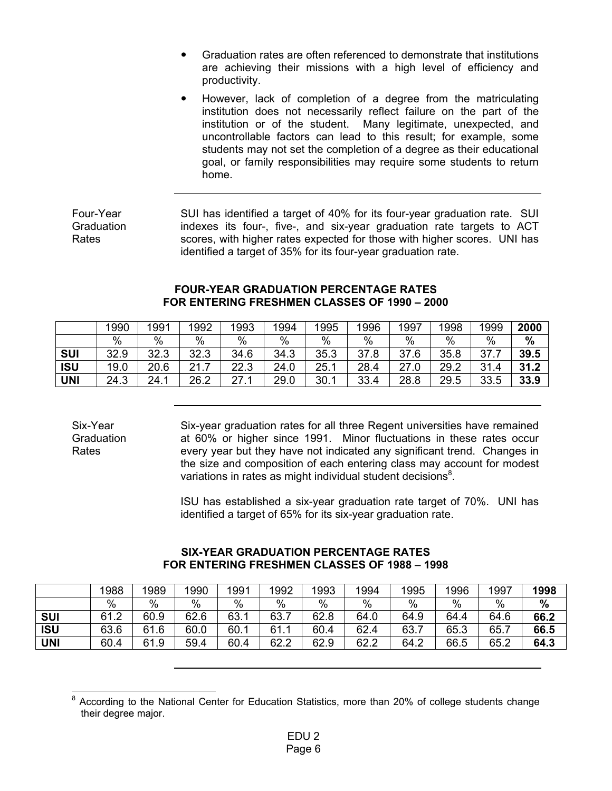- Graduation rates are often referenced to demonstrate that institutions are achieving their missions with a high level of efficiency and productivity.
- However, lack of completion of a degree from the matriculating institution does not necessarily reflect failure on the part of the institution or of the student. Many legitimate, unexpected, and uncontrollable factors can lead to this result; for example, some students may not set the completion of a degree as their educational goal, or family responsibilities may require some students to return home.

| Four-Year  | SUI has identified a target of 40% for its four-year graduation rate. SUI |
|------------|---------------------------------------------------------------------------|
| Graduation | indexes its four-, five-, and six-year graduation rate targets to ACT     |
| Rates      | scores, with higher rates expected for those with higher scores. UNI has  |
|            | identified a target of 35% for its four-year graduation rate.             |

#### **FOUR-YEAR GRADUATION PERCENTAGE RATES FOR ENTERING FRESHMEN CLASSES OF 1990 – 2000**

|            | 1990 | 1991 | 1992          | 1993 | 1994 | 1995      | 1996     | 1997 | 1998 | 1999 | 2000 |
|------------|------|------|---------------|------|------|-----------|----------|------|------|------|------|
|            | %    | $\%$ | $\%$          | %    | $\%$ | $\%$      | %        | $\%$ | $\%$ | $\%$ | $\%$ |
| <b>SUI</b> | 32.9 | 32.3 | 32.3          | 34.6 | 34.3 | 35.3<br>ົ | 37<br>∵8 | 37.6 | 35.8 | 37.  | 39.5 |
| <b>ISU</b> | 19.0 | 20.6 | 21<br>4 I . I | 22.3 | 24.0 | 25.1      | 28.4     | 27.0 | 29.2 | 31.4 | 31.2 |
| <b>UNI</b> | 24.3 | 24.1 | 26.2          | 27.7 | 29.0 | 30.1      | 33.4     | 28.8 | 29.5 | 33.5 | 33.9 |

Six-Year **Graduation** Rates

Six-year graduation rates for all three Regent universities have remained at 60% or higher since 1991. Minor fluctuations in these rates occur every year but they have not indicated any significant trend. Changes in the size and composition of each entering class may account for modest variations in rates as might individual student decisions<sup>8</sup>.

ISU has established a six-year graduation rate target of 70%. UNI has identified a target of 65% for its six-year graduation rate.

|            | 1988 | 1989      | 1990 | 1991 | 1992 | 1993 | 1994          | 1995 | 1996 | 1997 | 1998 |
|------------|------|-----------|------|------|------|------|---------------|------|------|------|------|
|            | $\%$ | $\%$      | %    | $\%$ | %    | %    | $\frac{0}{0}$ | %    | $\%$ | %    | $\%$ |
| <b>SUI</b> | 61.2 | 60.9      | 62.6 | 63.1 | 63.  | 62.8 | 64.0          | 64.9 | 64.4 | 64.6 | 66.2 |
| <b>ISU</b> | 63.6 | 61<br>1.6 | 60.0 | 60.1 | 61.  | 60.4 | 62.4          | 63.7 | 65.3 | 65.7 | 66.5 |
| <b>UNI</b> | 60.4 | 61.9      | 59.4 | 60.4 | 62.2 | 62.9 | 62.2          | 64.2 | 66.5 | 65.2 | 64.3 |

#### **SIX-YEAR GRADUATION PERCENTAGE RATES FOR ENTERING FRESHMEN CLASSES OF 1988** – **1998**

<sup>8</sup> According to the National Center for Education Statistics, more than 20% of college students change their degree major.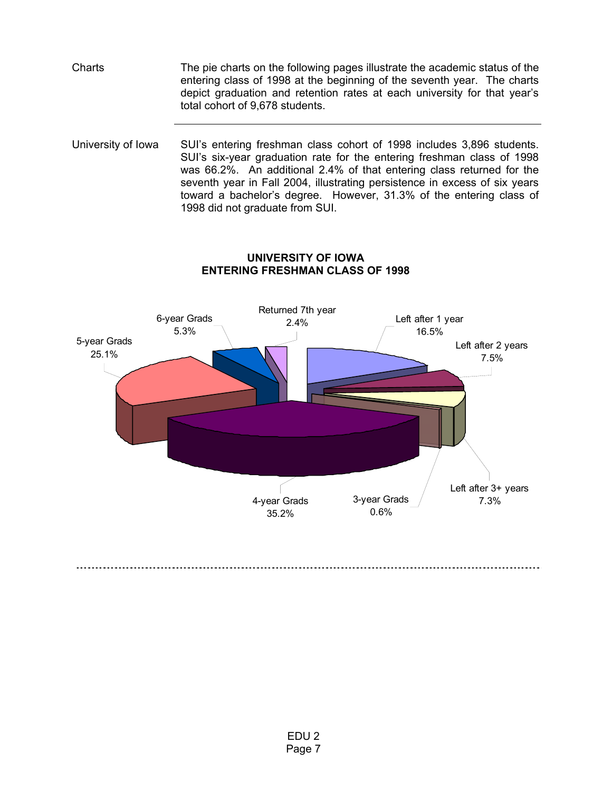Charts The pie charts on the following pages illustrate the academic status of the entering class of 1998 at the beginning of the seventh year. The charts depict graduation and retention rates at each university for that year's total cohort of 9,678 students.

University of Iowa SUI's entering freshman class cohort of 1998 includes 3,896 students. SUI's six-year graduation rate for the entering freshman class of 1998 was 66.2%. An additional 2.4% of that entering class returned for the seventh year in Fall 2004, illustrating persistence in excess of six years toward a bachelor's degree. However, 31.3% of the entering class of 1998 did not graduate from SUI.



# **UNIVERSITY OF IOWA ENTERING FRESHMAN CLASS OF 1998**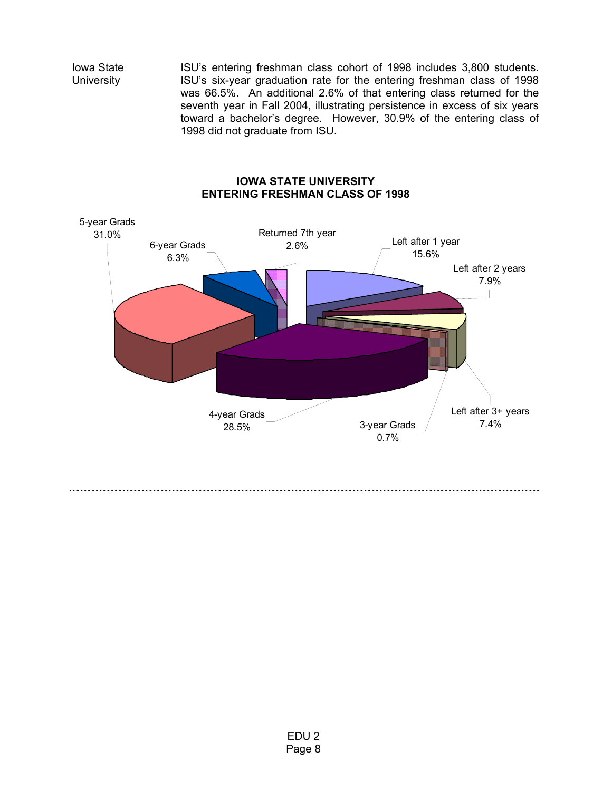Iowa State **University** 

ISU's entering freshman class cohort of 1998 includes 3,800 students. ISU's six-year graduation rate for the entering freshman class of 1998 was 66.5%. An additional 2.6% of that entering class returned for the seventh year in Fall 2004, illustrating persistence in excess of six years toward a bachelor's degree. However, 30.9% of the entering class of 1998 did not graduate from ISU.

### **IOWA STATE UNIVERSITY ENTERING FRESHMAN CLASS OF 1998**

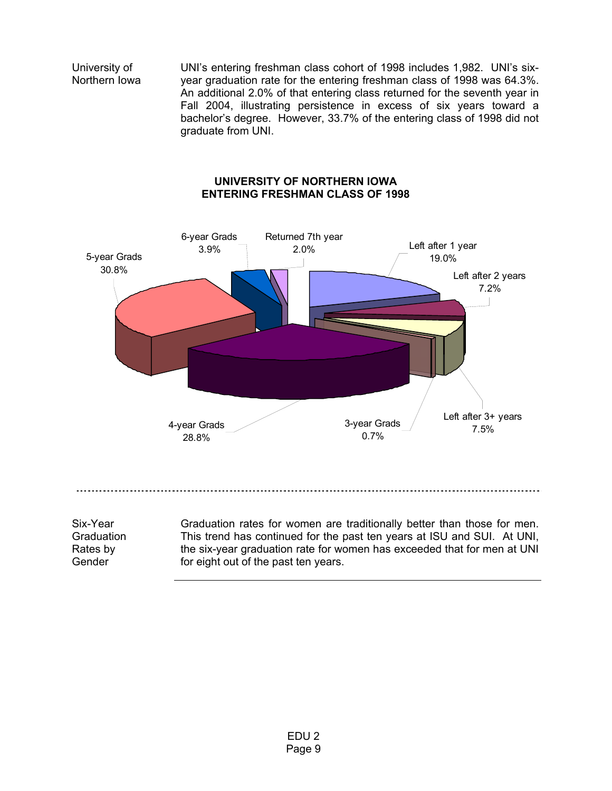University of Northern Iowa

UNI's entering freshman class cohort of 1998 includes 1,982. UNI's sixyear graduation rate for the entering freshman class of 1998 was 64.3%. An additional 2.0% of that entering class returned for the seventh year in Fall 2004, illustrating persistence in excess of six years toward a bachelor's degree. However, 33.7% of the entering class of 1998 did not graduate from UNI.

### **UNIVERSITY OF NORTHERN IOWA ENTERING FRESHMAN CLASS OF 1998**



Gender

for eight out of the past ten years.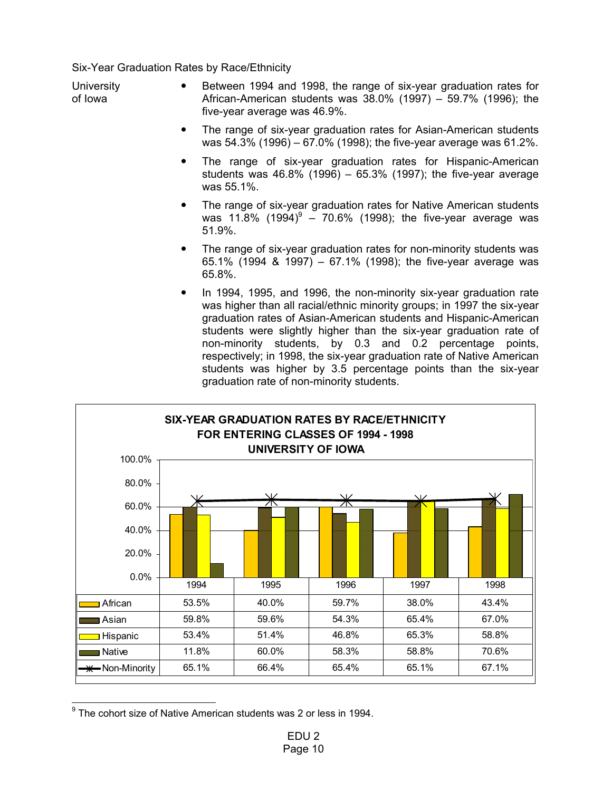Six-Year Graduation Rates by Race/Ethnicity

**University** of Iowa • Between 1994 and 1998, the range of six-year graduation rates for African-American students was 38.0% (1997) – 59.7% (1996); the five-year average was 46.9%.

- The range of six-year graduation rates for Asian-American students was 54.3% (1996) – 67.0% (1998); the five-year average was 61.2%.
- The range of six-year graduation rates for Hispanic-American students was 46.8% (1996) – 65.3% (1997); the five-year average was 55.1%.
- The range of six-year graduation rates for Native American students was 11.8%  $(1994)^{9}$  – 70.6% (1998); the five-year average was 51.9%.
- The range of six-year graduation rates for non-minority students was 65.1% (1994 & 1997) – 67.1% (1998); the five-year average was 65.8%.
- In 1994, 1995, and 1996, the non-minority six-year graduation rate was higher than all racial/ethnic minority groups; in 1997 the six-year graduation rates of Asian-American students and Hispanic-American students were slightly higher than the six-year graduation rate of non-minority students, by 0.3 and 0.2 percentage points, respectively; in 1998, the six-year graduation rate of Native American students was higher by 3.5 percentage points than the six-year graduation rate of non-minority students.



 <sup>9</sup> The cohort size of Native American students was 2 or less in 1994.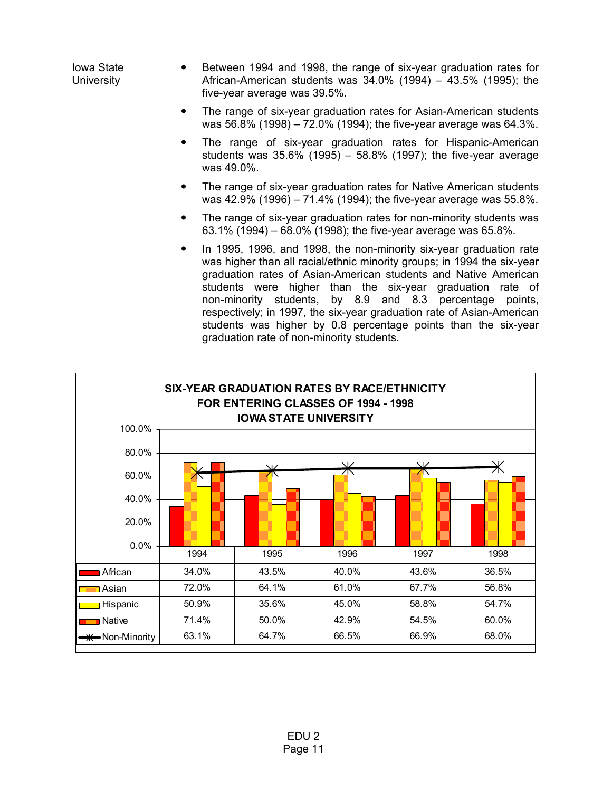Iowa State **University** Between 1994 and 1998, the range of six-year graduation rates for African-American students was 34.0% (1994) – 43.5% (1995); the five-year average was 39.5%.

- The range of six-year graduation rates for Asian-American students was 56.8% (1998) – 72.0% (1994); the five-year average was 64.3%.
- The range of six-year graduation rates for Hispanic-American students was 35.6% (1995) – 58.8% (1997); the five-year average was 49.0%.
- The range of six-year graduation rates for Native American students was 42.9% (1996) – 71.4% (1994); the five-year average was 55.8%.
- The range of six-year graduation rates for non-minority students was 63.1% (1994) – 68.0% (1998); the five-year average was 65.8%.
- In 1995, 1996, and 1998, the non-minority six-year graduation rate was higher than all racial/ethnic minority groups; in 1994 the six-year graduation rates of Asian-American students and Native American students were higher than the six-year graduation rate of non-minority students, by 8.9 and 8.3 percentage points, respectively; in 1997, the six-year graduation rate of Asian-American students was higher by 0.8 percentage points than the six-year graduation rate of non-minority students.

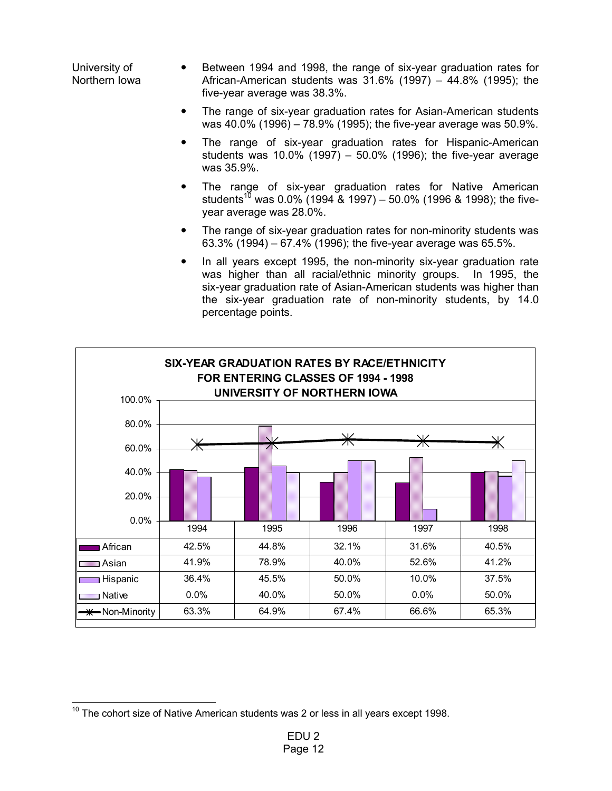University of Northern Iowa Between 1994 and 1998, the range of six-year graduation rates for African-American students was 31.6% (1997) – 44.8% (1995); the five-year average was 38.3%.

- The range of six-year graduation rates for Asian-American students was 40.0% (1996) – 78.9% (1995); the five-year average was 50.9%.
- The range of six-year graduation rates for Hispanic-American students was 10.0% (1997) – 50.0% (1996); the five-year average was 35.9%.
- The range of six-year graduation rates for Native American students<sup>10</sup> was 0.0% (1994 & 1997) – 50.0% (1996 & 1998); the fiveyear average was 28.0%.
- The range of six-year graduation rates for non-minority students was 63.3% (1994) – 67.4% (1996); the five-year average was 65.5%.
- In all years except 1995, the non-minority six-year graduation rate was higher than all racial/ethnic minority groups. In 1995, the six-year graduation rate of Asian-American students was higher than the six-year graduation rate of non-minority students, by 14.0 percentage points.



 $10$  The cohort size of Native American students was 2 or less in all years except 1998.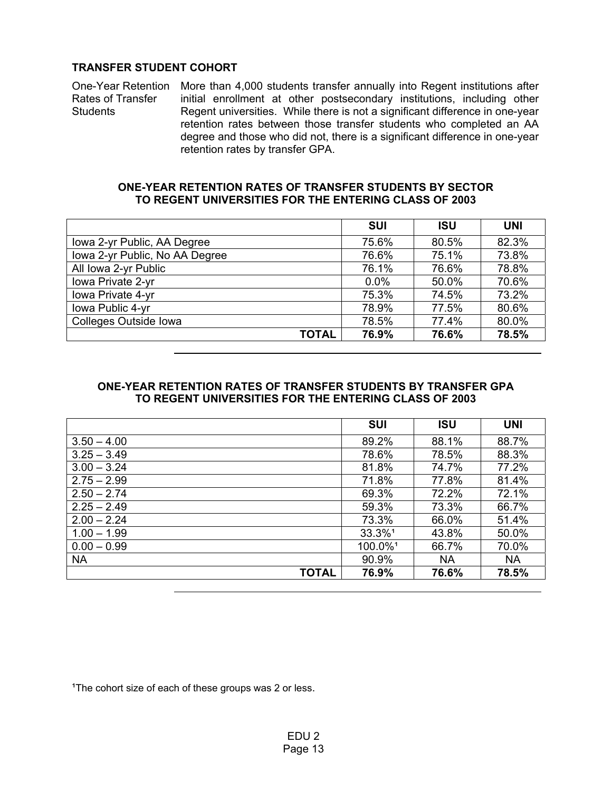### **TRANSFER STUDENT COHORT**

One-Year Retention More than 4,000 students transfer annually into Regent institutions after Rates of Transfer **Students** initial enrollment at other postsecondary institutions, including other Regent universities. While there is not a significant difference in one-year retention rates between those transfer students who completed an AA degree and those who did not, there is a significant difference in one-year retention rates by transfer GPA.

#### **ONE-YEAR RETENTION RATES OF TRANSFER STUDENTS BY SECTOR TO REGENT UNIVERSITIES FOR THE ENTERING CLASS OF 2003**

|                                | <b>SUI</b> | <b>ISU</b> | <b>UNI</b> |
|--------------------------------|------------|------------|------------|
| Iowa 2-yr Public, AA Degree    | 75.6%      | 80.5%      | 82.3%      |
| Iowa 2-yr Public, No AA Degree | 76.6%      | 75.1%      | 73.8%      |
| All Iowa 2-yr Public           | 76.1%      | 76.6%      | 78.8%      |
| Iowa Private 2-yr              | 0.0%       | 50.0%      | 70.6%      |
| Iowa Private 4-yr              | 75.3%      | 74.5%      | 73.2%      |
| Iowa Public 4-yr               | 78.9%      | 77.5%      | 80.6%      |
| <b>Colleges Outside Iowa</b>   | 78.5%      | 77.4%      | 80.0%      |
| <b>TOTAL</b>                   | 76.9%      | 76.6%      | 78.5%      |

### **ONE-YEAR RETENTION RATES OF TRANSFER STUDENTS BY TRANSFER GPA TO REGENT UNIVERSITIES FOR THE ENTERING CLASS OF 2003**

|               | <b>SUI</b> | <b>ISU</b> | <b>UNI</b> |
|---------------|------------|------------|------------|
| $3.50 - 4.00$ | 89.2%      | 88.1%      | 88.7%      |
| $3.25 - 3.49$ | 78.6%      | 78.5%      | 88.3%      |
| $3.00 - 3.24$ | 81.8%      | 74.7%      | 77.2%      |
| $2.75 - 2.99$ | 71.8%      | 77.8%      | 81.4%      |
| $2.50 - 2.74$ | 69.3%      | 72.2%      | 72.1%      |
| $2.25 - 2.49$ | 59.3%      | 73.3%      | 66.7%      |
| $2.00 - 2.24$ | 73.3%      | 66.0%      | 51.4%      |
| $1.00 - 1.99$ | 33.3%1     | 43.8%      | 50.0%      |
| $0.00 - 0.99$ | 100.0%1    | 66.7%      | 70.0%      |
| <b>NA</b>     | 90.9%      | <b>NA</b>  | <b>NA</b>  |
| <b>TOTAL</b>  | 76.9%      | 76.6%      | 78.5%      |

<sup>1</sup>The cohort size of each of these groups was 2 or less.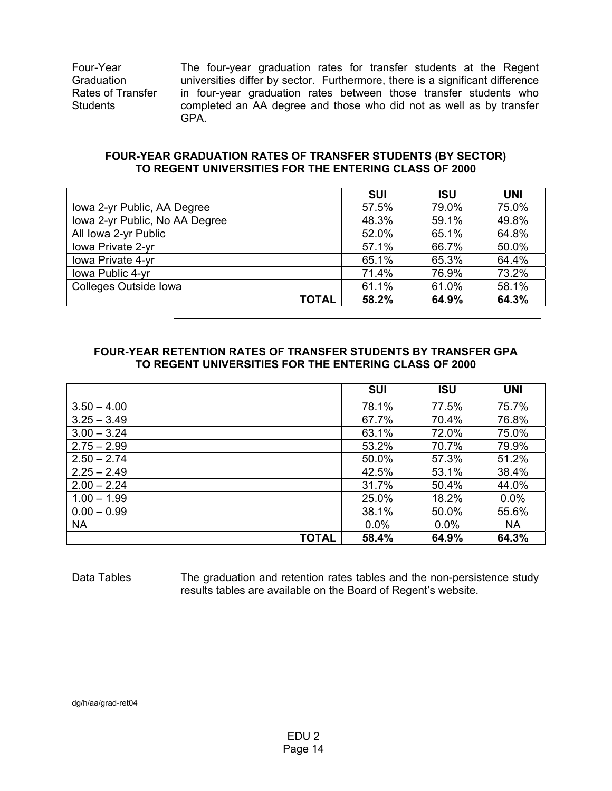Four-Year **Graduation** Rates of Transfer **Students** 

The four-year graduation rates for transfer students at the Regent universities differ by sector. Furthermore, there is a significant difference in four-year graduation rates between those transfer students who completed an AA degree and those who did not as well as by transfer GPA.

### **FOUR-YEAR GRADUATION RATES OF TRANSFER STUDENTS (BY SECTOR) TO REGENT UNIVERSITIES FOR THE ENTERING CLASS OF 2000**

|                                | <b>SUI</b> | <b>ISU</b> | <b>UNI</b> |
|--------------------------------|------------|------------|------------|
| Iowa 2-yr Public, AA Degree    | 57.5%      | 79.0%      | 75.0%      |
| Iowa 2-yr Public, No AA Degree | 48.3%      | 59.1%      | 49.8%      |
| All Iowa 2-yr Public           | 52.0%      | 65.1%      | 64.8%      |
| Iowa Private 2-yr              | 57.1%      | 66.7%      | 50.0%      |
| Iowa Private 4-yr              | 65.1%      | 65.3%      | 64.4%      |
| Iowa Public 4-yr               | 71.4%      | 76.9%      | 73.2%      |
| Colleges Outside Iowa          | 61.1%      | 61.0%      | 58.1%      |
| <b>TOTAL</b>                   | 58.2%      | 64.9%      | 64.3%      |

### **FOUR-YEAR RETENTION RATES OF TRANSFER STUDENTS BY TRANSFER GPA TO REGENT UNIVERSITIES FOR THE ENTERING CLASS OF 2000**

|               | <b>SUI</b> | <b>ISU</b> | <b>UNI</b> |
|---------------|------------|------------|------------|
| $3.50 - 4.00$ | 78.1%      | 77.5%      | 75.7%      |
| $3.25 - 3.49$ | 67.7%      | 70.4%      | 76.8%      |
| $3.00 - 3.24$ | 63.1%      | 72.0%      | 75.0%      |
| $2.75 - 2.99$ | 53.2%      | 70.7%      | 79.9%      |
| $2.50 - 2.74$ | 50.0%      | 57.3%      | 51.2%      |
| $2.25 - 2.49$ | 42.5%      | 53.1%      | 38.4%      |
| $2.00 - 2.24$ | 31.7%      | 50.4%      | 44.0%      |
| $1.00 - 1.99$ | 25.0%      | 18.2%      | $0.0\%$    |
| $0.00 - 0.99$ | 38.1%      | 50.0%      | 55.6%      |
| <b>NA</b>     | 0.0%       | 0.0%       | <b>NA</b>  |
| <b>TOTAL</b>  | 58.4%      | 64.9%      | 64.3%      |

#### Data Tables The graduation and retention rates tables and the non-persistence study results tables are available on the Board of Regent's website.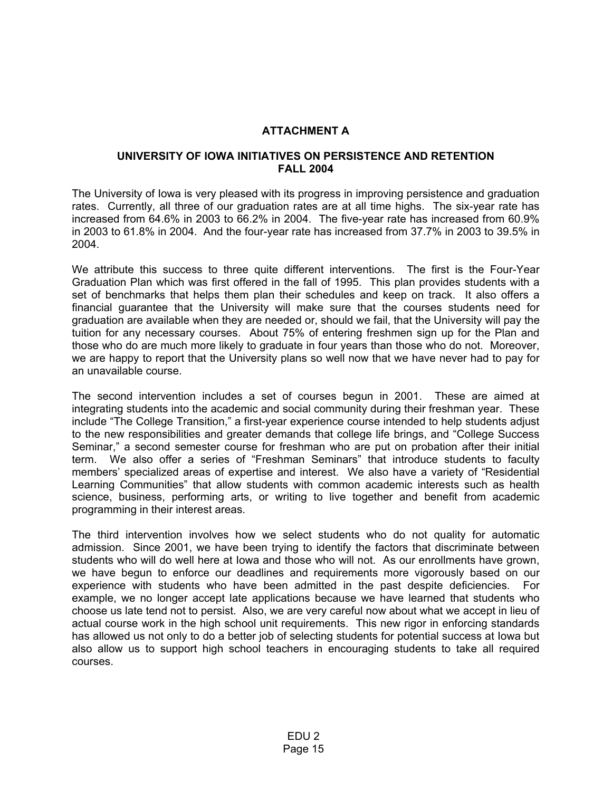## **ATTACHMENT A**

#### **UNIVERSITY OF IOWA INITIATIVES ON PERSISTENCE AND RETENTION FALL 2004**

The University of Iowa is very pleased with its progress in improving persistence and graduation rates. Currently, all three of our graduation rates are at all time highs. The six-year rate has increased from 64.6% in 2003 to 66.2% in 2004. The five-year rate has increased from 60.9% in 2003 to 61.8% in 2004. And the four-year rate has increased from 37.7% in 2003 to 39.5% in 2004.

We attribute this success to three quite different interventions. The first is the Four-Year Graduation Plan which was first offered in the fall of 1995. This plan provides students with a set of benchmarks that helps them plan their schedules and keep on track. It also offers a financial guarantee that the University will make sure that the courses students need for graduation are available when they are needed or, should we fail, that the University will pay the tuition for any necessary courses. About 75% of entering freshmen sign up for the Plan and those who do are much more likely to graduate in four years than those who do not. Moreover, we are happy to report that the University plans so well now that we have never had to pay for an unavailable course.

The second intervention includes a set of courses begun in 2001. These are aimed at integrating students into the academic and social community during their freshman year. These include "The College Transition," a first-year experience course intended to help students adjust to the new responsibilities and greater demands that college life brings, and "College Success Seminar," a second semester course for freshman who are put on probation after their initial term. We also offer a series of "Freshman Seminars" that introduce students to faculty members' specialized areas of expertise and interest. We also have a variety of "Residential Learning Communities" that allow students with common academic interests such as health science, business, performing arts, or writing to live together and benefit from academic programming in their interest areas.

The third intervention involves how we select students who do not quality for automatic admission. Since 2001, we have been trying to identify the factors that discriminate between students who will do well here at Iowa and those who will not. As our enrollments have grown, we have begun to enforce our deadlines and requirements more vigorously based on our experience with students who have been admitted in the past despite deficiencies. For example, we no longer accept late applications because we have learned that students who choose us late tend not to persist. Also, we are very careful now about what we accept in lieu of actual course work in the high school unit requirements. This new rigor in enforcing standards has allowed us not only to do a better job of selecting students for potential success at Iowa but also allow us to support high school teachers in encouraging students to take all required courses.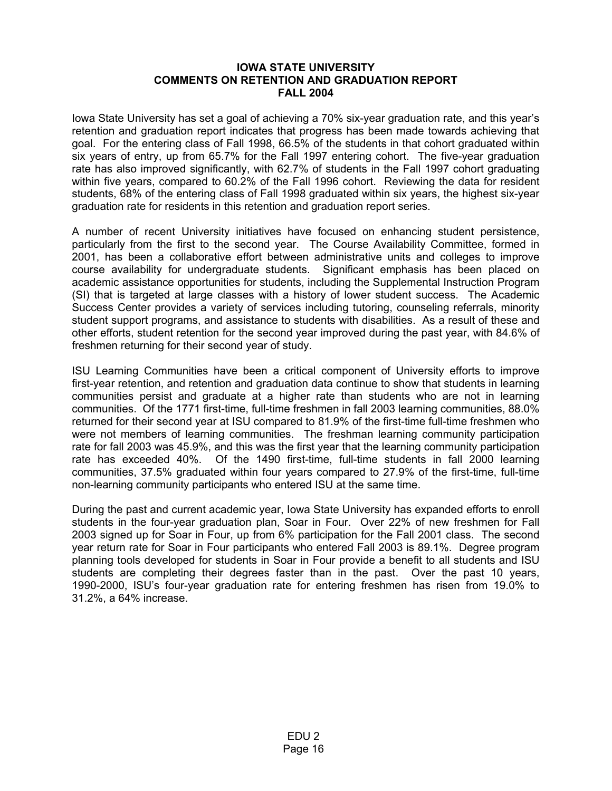#### **IOWA STATE UNIVERSITY COMMENTS ON RETENTION AND GRADUATION REPORT FALL 2004**

Iowa State University has set a goal of achieving a 70% six-year graduation rate, and this year's retention and graduation report indicates that progress has been made towards achieving that goal. For the entering class of Fall 1998, 66.5% of the students in that cohort graduated within six years of entry, up from 65.7% for the Fall 1997 entering cohort. The five-year graduation rate has also improved significantly, with 62.7% of students in the Fall 1997 cohort graduating within five years, compared to 60.2% of the Fall 1996 cohort. Reviewing the data for resident students, 68% of the entering class of Fall 1998 graduated within six years, the highest six-year graduation rate for residents in this retention and graduation report series.

A number of recent University initiatives have focused on enhancing student persistence, particularly from the first to the second year. The Course Availability Committee, formed in 2001, has been a collaborative effort between administrative units and colleges to improve course availability for undergraduate students. Significant emphasis has been placed on academic assistance opportunities for students, including the Supplemental Instruction Program (SI) that is targeted at large classes with a history of lower student success. The Academic Success Center provides a variety of services including tutoring, counseling referrals, minority student support programs, and assistance to students with disabilities. As a result of these and other efforts, student retention for the second year improved during the past year, with 84.6% of freshmen returning for their second year of study.

ISU Learning Communities have been a critical component of University efforts to improve first-year retention, and retention and graduation data continue to show that students in learning communities persist and graduate at a higher rate than students who are not in learning communities. Of the 1771 first-time, full-time freshmen in fall 2003 learning communities, 88.0% returned for their second year at ISU compared to 81.9% of the first-time full-time freshmen who were not members of learning communities. The freshman learning community participation rate for fall 2003 was 45.9%, and this was the first year that the learning community participation rate has exceeded 40%. Of the 1490 first-time, full-time students in fall 2000 learning communities, 37.5% graduated within four years compared to 27.9% of the first-time, full-time non-learning community participants who entered ISU at the same time.

During the past and current academic year, Iowa State University has expanded efforts to enroll students in the four-year graduation plan, Soar in Four. Over 22% of new freshmen for Fall 2003 signed up for Soar in Four, up from 6% participation for the Fall 2001 class. The second year return rate for Soar in Four participants who entered Fall 2003 is 89.1%. Degree program planning tools developed for students in Soar in Four provide a benefit to all students and ISU students are completing their degrees faster than in the past. Over the past 10 years, 1990-2000, ISU's four-year graduation rate for entering freshmen has risen from 19.0% to 31.2%, a 64% increase.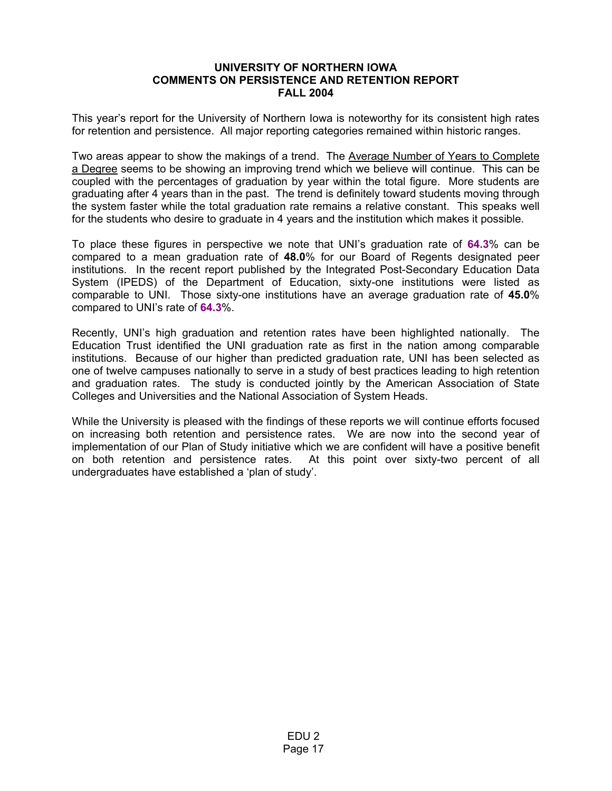#### **UNIVERSITY OF NORTHERN IOWA COMMENTS ON PERSISTENCE AND RETENTION REPORT FALL 2004**

This year's report for the University of Northern Iowa is noteworthy for its consistent high rates for retention and persistence. All major reporting categories remained within historic ranges.

Two areas appear to show the makings of a trend. The Average Number of Years to Complete a Degree seems to be showing an improving trend which we believe will continue. This can be coupled with the percentages of graduation by year within the total figure. More students are graduating after 4 years than in the past. The trend is definitely toward students moving through the system faster while the total graduation rate remains a relative constant. This speaks well for the students who desire to graduate in 4 years and the institution which makes it possible.

To place these figures in perspective we note that UNI's graduation rate of **64.3**% can be compared to a mean graduation rate of **48.0**% for our Board of Regents designated peer institutions. In the recent report published by the Integrated Post-Secondary Education Data System (IPEDS) of the Department of Education, sixty-one institutions were listed as comparable to UNI. Those sixty-one institutions have an average graduation rate of **45.0**% compared to UNI's rate of **64.3**%.

Recently, UNI's high graduation and retention rates have been highlighted nationally. The Education Trust identified the UNI graduation rate as first in the nation among comparable institutions. Because of our higher than predicted graduation rate, UNI has been selected as one of twelve campuses nationally to serve in a study of best practices leading to high retention and graduation rates. The study is conducted jointly by the American Association of State Colleges and Universities and the National Association of System Heads.

While the University is pleased with the findings of these reports we will continue efforts focused on increasing both retention and persistence rates. We are now into the second year of implementation of our Plan of Study initiative which we are confident will have a positive benefit on both retention and persistence rates. At this point over sixty-two percent of all undergraduates have established a 'plan of study'.